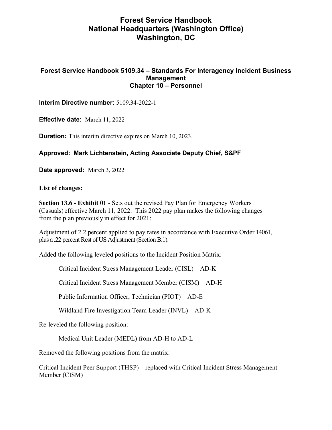### **Forest Service Handbook 5109.34 – Standards For Interagency Incident Business Management Chapter 10 – Personnel**

**Interim Directive number:** 5109.34-2022-1

**Effective date:** March 11, 2022

**Duration:** This interim directive expires on March 10, 2023.

**Approved: Mark Lichtenstein, Acting Associate Deputy Chief, S&PF** 

**Date approved:** March 3, 2022

**List of changes:** 

**Section 13.6 - Exhibit 01** - Sets out the revised Pay Plan for Emergency Workers (Casuals) effective March 11, 2022. This 2022 pay plan makes the following changes from the plan previously in effect for 2021:

Adjustment of 2.2 percent applied to pay rates in accordance with Executive Order 14061, plus a .22 percent Rest of US Adjustment (Section B.1).

Added the following leveled positions to the Incident Position Matrix:

Critical Incident Stress Management Leader (CISL) – AD-K

Critical Incident Stress Management Member (CISM) – AD-H

Public Information Officer, Technician (PIOT) – AD-E

Wildland Fire Investigation Team Leader (INVL) – AD-K

Re-leveled the following position:

Medical Unit Leader (MEDL) from AD-H to AD-L

Removed the following positions from the matrix:

Critical Incident Peer Support (THSP) – replaced with Critical Incident Stress Management Member (CISM)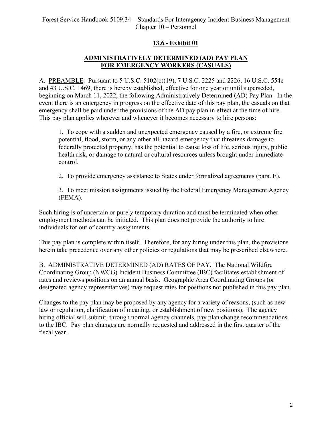# **13.6 - Exhibit 01**

# **ADMINISTRATIVELY DETERMINED (AD) PAY PLAN FOR EMERGENCY WORKERS (CASUALS)**

A. PREAMBLE. Pursuant to 5 U.S.C. 5102(c)(19), 7 U.S.C. 2225 and 2226, 16 U.S.C. 554e and 43 U.S.C. 1469, there is hereby established, effective for one year or until superseded, beginning on March 11, 2022, the following Administratively Determined (AD) Pay Plan. In the event there is an emergency in progress on the effective date of this pay plan, the casuals on that emergency shall be paid under the provisions of the AD pay plan in effect at the time of hire. This pay plan applies wherever and whenever it becomes necessary to hire persons:

1. To cope with a sudden and unexpected emergency caused by a fire, or extreme fire potential, flood, storm, or any other all-hazard emergency that threatens damage to federally protected property, has the potential to cause loss of life, serious injury, public health risk, or damage to natural or cultural resources unless brought under immediate control.

2. To provide emergency assistance to States under formalized agreements (para. E).

3. To meet mission assignments issued by the Federal Emergency Management Agency (FEMA).

Such hiring is of uncertain or purely temporary duration and must be terminated when other employment methods can be initiated. This plan does not provide the authority to hire individuals for out of country assignments.

This pay plan is complete within itself. Therefore, for any hiring under this plan, the provisions herein take precedence over any other policies or regulations that may be prescribed elsewhere.

B. ADMINISTRATIVE DETERMINED (AD) RATES OF PAY. The National Wildfire Coordinating Group (NWCG) Incident Business Committee (IBC) facilitates establishment of rates and reviews positions on an annual basis. Geographic Area Coordinating Groups (or designated agency representatives) may request rates for positions not published in this pay plan.

Changes to the pay plan may be proposed by any agency for a variety of reasons, (such as new law or regulation, clarification of meaning, or establishment of new positions). The agency hiring official will submit, through normal agency channels, pay plan change recommendations to the IBC. Pay plan changes are normally requested and addressed in the first quarter of the fiscal year.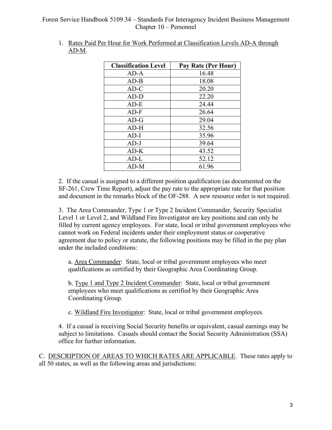### Forest Service Handbook 5109.34 – Standards For Interagency Incident Business Management Chapter 10 – Personnel

| <b>Classification Level</b> | Pay Rate (Per Hour) |
|-----------------------------|---------------------|
| $AD-A$                      | 16.48               |
| $AD-B$                      | 18.08               |
| $AD-C$                      | 20.20               |
| AD-D                        | 22.20               |
| $AD-E$                      | 24.44               |
| $AD-F$                      | 26.64               |
| $AD-G$                      | 29.04               |
| $AD-H$                      | 32.56               |
| $AD-I$                      | 35.96               |
| $AD-J$                      | 39.64               |
| $AD-K$                      | 43.52               |
| AD-L                        | 52.12               |
| $AD-M$                      | 61.96               |

1. Rates Paid Per Hour for Work Performed at Classification Levels AD-A through AD-M.

2. If the casual is assigned to a different position qualification (as documented on the SF-261, Crew Time Report), adjust the pay rate to the appropriate rate for that position and document in the remarks block of the OF-288. A new resource order is not required.

3. The Area Commander, Type 1 or Type 2 Incident Commander, Security Specialist Level 1 or Level 2, and Wildland Fire Investigator are key positions and can only be filled by current agency employees. For state, local or tribal government employees who cannot work on Federal incidents under their employment status or cooperative agreement due to policy or statute, the following positions may be filled in the pay plan under the included conditions:

a. Area Commander: State, local or tribal government employees who meet qualifications as certified by their Geographic Area Coordinating Group.

b. Type 1 and Type 2 Incident Commander: State, local or tribal government employees who meet qualifications as certified by their Geographic Area Coordinating Group.

c. Wildland Fire Investigator: State, local or tribal government employees.

4. If a casual is receiving Social Security benefits or equivalent, casual earnings may be subject to limitations. Casuals should contact the Social Security Administration (SSA) office for further information.

C.DESCRIPTION OF AREAS TO WHICH RATES ARE APPLICABLE. These rates apply to all 50 states, as well as the following areas and jurisdictions: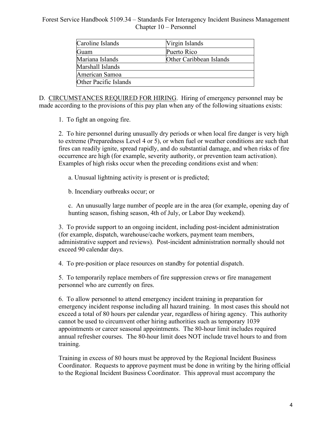### Forest Service Handbook 5109.34 – Standards For Interagency Incident Business Management Chapter 10 – Personnel

| Caroline Islands             | Virgin Islands          |
|------------------------------|-------------------------|
| Guam                         | Puerto Rico             |
| Mariana Islands              | Other Caribbean Islands |
| Marshall Islands             |                         |
| American Samoa               |                         |
| <b>Other Pacific Islands</b> |                         |

D. CIRCUMSTANCES REQUIRED FOR HIRING. Hiring of emergency personnel may be made according to the provisions of this pay plan when any of the following situations exists:

1. To fight an ongoing fire.

2. To hire personnel during unusually dry periods or when local fire danger is very high to extreme (Preparedness Level 4 or 5), or when fuel or weather conditions are such that fires can readily ignite, spread rapidly, and do substantial damage, and when risks of fire occurrence are high (for example, severity authority, or prevention team activation). Examples of high risks occur when the preceding conditions exist and when:

a. Unusual lightning activity is present or is predicted;

b. Incendiary outbreaks occur; or

c. An unusually large number of people are in the area (for example, opening day of hunting season, fishing season, 4th of July, or Labor Day weekend).

3. To provide support to an ongoing incident, including post-incident administration (for example, dispatch, warehouse/cache workers, payment team members, administrative support and reviews). Post-incident administration normally should not exceed 90 calendar days.

4. To pre-position or place resources on standby for potential dispatch.

5. To temporarily replace members of fire suppression crews or fire management personnel who are currently on fires.

6. To allow personnel to attend emergency incident training in preparation for emergency incident response including all hazard training. In most cases this should not exceed a total of 80 hours per calendar year, regardless of hiring agency. This authority cannot be used to circumvent other hiring authorities such as temporary 1039 appointments or career seasonal appointments. The 80-hour limit includes required annual refresher courses. The 80-hour limit does NOT include travel hours to and from training.

Training in excess of 80 hours must be approved by the Regional Incident Business Coordinator. Requests to approve payment must be done in writing by the hiring official to the Regional Incident Business Coordinator. This approval must accompany the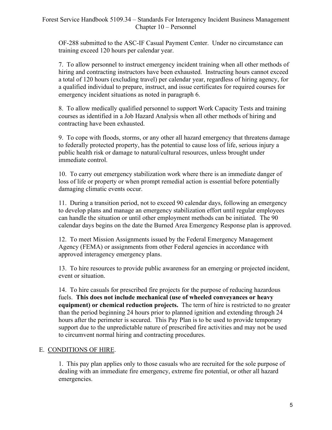OF-288 submitted to the ASC-IF Casual Payment Center. Under no circumstance can training exceed 120 hours per calendar year.

7. To allow personnel to instruct emergency incident training when all other methods of hiring and contracting instructors have been exhausted. Instructing hours cannot exceed a total of 120 hours (excluding travel) per calendar year, regardless of hiring agency, for a qualified individual to prepare, instruct, and issue certificates for required courses for emergency incident situations as noted in paragraph 6.

8. To allow medically qualified personnel to support Work Capacity Tests and training courses as identified in a Job Hazard Analysis when all other methods of hiring and contracting have been exhausted.

9. To cope with floods, storms, or any other all hazard emergency that threatens damage to federally protected property, has the potential to cause loss of life, serious injury a public health risk or damage to natural/cultural resources, unless brought under immediate control.

10. To carry out emergency stabilization work where there is an immediate danger of loss of life or property or when prompt remedial action is essential before potentially damaging climatic events occur.

11. During a transition period, not to exceed 90 calendar days, following an emergency to develop plans and manage an emergency stabilization effort until regular employees can handle the situation or until other employment methods can be initiated. The 90 calendar days begins on the date the Burned Area Emergency Response plan is approved.

12. To meet Mission Assignments issued by the Federal Emergency Management Agency (FEMA) or assignments from other Federal agencies in accordance with approved interagency emergency plans.

13. To hire resources to provide public awareness for an emerging or projected incident, event or situation.

14. To hire casuals for prescribed fire projects for the purpose of reducing hazardous fuels. **This does not include mechanical (use of wheeled conveyances or heavy equipment) or chemical reduction projects.** The term of hire is restricted to no greater than the period beginning 24 hours prior to planned ignition and extending through 24 hours after the perimeter is secured. This Pay Plan is to be used to provide temporary support due to the unpredictable nature of prescribed fire activities and may not be used to circumvent normal hiring and contracting procedures.

### E. CONDITIONS OF HIRE.

1. This pay plan applies only to those casuals who are recruited for the sole purpose of dealing with an immediate fire emergency, extreme fire potential, or other all hazard emergencies.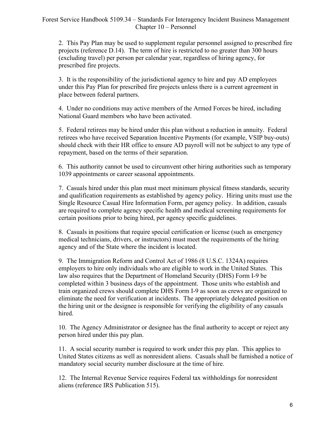2. This Pay Plan may be used to supplement regular personnel assigned to prescribed fire projects (reference D.14). The term of hire is restricted to no greater than 300 hours (excluding travel) per person per calendar year, regardless of hiring agency, for prescribed fire projects.

3. It is the responsibility of the jurisdictional agency to hire and pay AD employees under this Pay Plan for prescribed fire projects unless there is a current agreement in place between federal partners.

4. Under no conditions may active members of the Armed Forces be hired, including National Guard members who have been activated.

5. Federal retirees may be hired under this plan without a reduction in annuity. Federal retirees who have received Separation Incentive Payments (for example, VSIP buy-outs) should check with their HR office to ensure AD payroll will not be subject to any type of repayment, based on the terms of their separation.

6. This authority cannot be used to circumvent other hiring authorities such as temporary 1039 appointments or career seasonal appointments.

7. Casuals hired under this plan must meet minimum physical fitness standards, security and qualification requirements as established by agency policy. Hiring units must use the Single Resource Casual Hire Information Form, per agency policy. In addition, casuals are required to complete agency specific health and medical screening requirements for certain positions prior to being hired, per agency specific guidelines.

8. Casuals in positions that require special certification or license (such as emergency medical technicians, drivers, or instructors) must meet the requirements of the hiring agency and of the State where the incident is located.

9. The Immigration Reform and Control Act of 1986 (8 U.S.C. 1324A) requires employers to hire only individuals who are eligible to work in the United States. This law also requires that the Department of Homeland Security (DHS) Form I-9 be completed within 3 business days of the appointment. Those units who establish and train organized crews should complete DHS Form I-9 as soon as crews are organized to eliminate the need for verification at incidents. The appropriately delegated position on the hiring unit or the designee is responsible for verifying the eligibility of any casuals hired.

10. The Agency Administrator or designee has the final authority to accept or reject any person hired under this pay plan.

11. A social security number is required to work under this pay plan. This applies to United States citizens as well as nonresident aliens. Casuals shall be furnished a notice of mandatory social security number disclosure at the time of hire.

12. The Internal Revenue Service requires Federal tax withholdings for nonresident aliens (reference IRS Publication 515).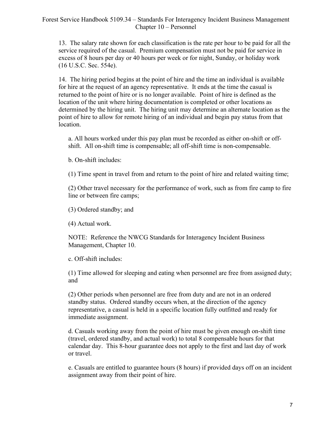### Forest Service Handbook 5109.34 – Standards For Interagency Incident Business Management Chapter 10 – Personnel

13. The salary rate shown for each classification is the rate per hour to be paid for all the service required of the casual. Premium compensation must not be paid for service in excess of 8 hours per day or 40 hours per week or for night, Sunday, or holiday work (16 U.S.C. Sec. 554e).

14. The hiring period begins at the point of hire and the time an individual is available for hire at the request of an agency representative. It ends at the time the casual is returned to the point of hire or is no longer available. Point of hire is defined as the location of the unit where hiring documentation is completed or other locations as determined by the hiring unit. The hiring unit may determine an alternate location as the point of hire to allow for remote hiring of an individual and begin pay status from that location.

a. All hours worked under this pay plan must be recorded as either on-shift or offshift. All on-shift time is compensable; all off-shift time is non-compensable.

b. On-shift includes:

(1) Time spent in travel from and return to the point of hire and related waiting time;

(2) Other travel necessary for the performance of work, such as from fire camp to fire line or between fire camps;

(3) Ordered standby; and

(4) Actual work.

NOTE: Reference the NWCG Standards for Interagency Incident Business Management, Chapter 10.

c. Off-shift includes:

(1) Time allowed for sleeping and eating when personnel are free from assigned duty; and

(2) Other periods when personnel are free from duty and are not in an ordered standby status. Ordered standby occurs when, at the direction of the agency representative, a casual is held in a specific location fully outfitted and ready for immediate assignment.

d. Casuals working away from the point of hire must be given enough on-shift time (travel, ordered standby, and actual work) to total 8 compensable hours for that calendar day. This 8-hour guarantee does not apply to the first and last day of work or travel.

e. Casuals are entitled to guarantee hours (8 hours) if provided days off on an incident assignment away from their point of hire.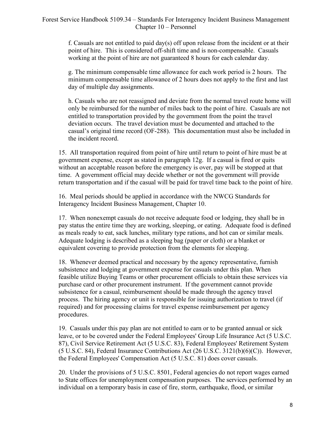f. Casuals are not entitled to paid day(s) off upon release from the incident or at their point of hire. This is considered off-shift time and is non-compensable. Casuals working at the point of hire are not guaranteed 8 hours for each calendar day.

g. The minimum compensable time allowance for each work period is 2 hours. The minimum compensable time allowance of 2 hours does not apply to the first and last day of multiple day assignments.

h. Casuals who are not reassigned and deviate from the normal travel route home will only be reimbursed for the number of miles back to the point of hire. Casuals are not entitled to transportation provided by the government from the point the travel deviation occurs. The travel deviation must be documented and attached to the casual's original time record (OF-288). This documentation must also be included in the incident record.

15. All transportation required from point of hire until return to point of hire must be at government expense, except as stated in paragraph 12g. If a casual is fired or quits without an acceptable reason before the emergency is over, pay will be stopped at that time. A government official may decide whether or not the government will provide return transportation and if the casual will be paid for travel time back to the point of hire.

16. Meal periods should be applied in accordance with the NWCG Standards for Interagency Incident Business Management, Chapter 10.

17. When nonexempt casuals do not receive adequate food or lodging, they shall be in pay status the entire time they are working, sleeping, or eating. Adequate food is defined as meals ready to eat, sack lunches, military type rations, and hot can or similar meals. Adequate lodging is described as a sleeping bag (paper or cloth) or a blanket or equivalent covering to provide protection from the elements for sleeping.

18. Whenever deemed practical and necessary by the agency representative, furnish subsistence and lodging at government expense for casuals under this plan. When feasible utilize Buying Teams or other procurement officials to obtain these services via purchase card or other procurement instrument. If the government cannot provide subsistence for a casual, reimbursement should be made through the agency travel process. The hiring agency or unit is responsible for issuing authorization to travel (if required) and for processing claims for travel expense reimbursement per agency procedures.

19. Casuals under this pay plan are not entitled to earn or to be granted annual or sick leave, or to be covered under the Federal Employees' Group Life Insurance Act (5 U.S.C. 87), Civil Service Retirement Act (5 U.S.C. 83), Federal Employees' Retirement System (5 U.S.C. 84), Federal Insurance Contributions Act (26 U.S.C. 3121(b)(6)(C)). However, the Federal Employees' Compensation Act (5 U.S.C. 81) does cover casuals.

20. Under the provisions of 5 U.S.C. 8501, Federal agencies do not report wages earned to State offices for unemployment compensation purposes. The services performed by an individual on a temporary basis in case of fire, storm, earthquake, flood, or similar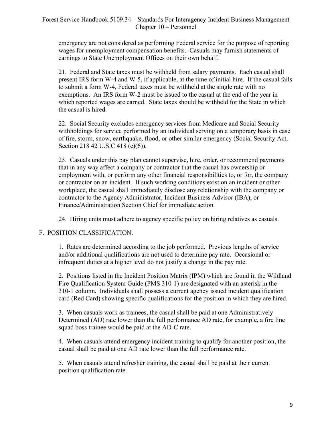emergency are not considered as performing Federal service for the purpose of reporting wages for unemployment compensation benefits. Casuals may furnish statements of earnings to State Unemployment Offices on their own behalf.

21. Federal and State taxes must be withheld from salary payments. Each casual shall present IRS form W-4 and W-5, if applicable, at the time of initial hire. If the casual fails to submit a form W-4, Federal taxes must be withheld at the single rate with no exemptions. An IRS form W-2 must be issued to the casual at the end of the year in which reported wages are earned. State taxes should be withheld for the State in which the casual is hired.

22. Social Security excludes emergency services from Medicare and Social Security withholdings for service performed by an individual serving on a temporary basis in case of fire, storm, snow, earthquake, flood, or other similar emergency (Social Security Act, Section 218 42 U.S.C 418 (c)(6)).

23. Casuals under this pay plan cannot supervise, hire, order, or recommend payments that in any way affect a company or contractor that the casual has ownership or employment with, or perform any other financial responsibilities to, or for, the company or contractor on an incident. If such working conditions exist on an incident or other workplace, the casual shall immediately disclose any relationship with the company or contractor to the Agency Administrator, Incident Business Advisor (IBA), or Finance/Administration Section Chief for immediate action.

24. Hiring units must adhere to agency specific policy on hiring relatives as casuals.

### F. POSITION CLASSIFICATION.

1. Rates are determined according to the job performed. Previous lengths of service and/or additional qualifications are not used to determine pay rate. Occasional or infrequent duties at a higher level do not justify a change in the pay rate.

2. Positions listed in the Incident Position Matrix (IPM) which are found in the Wildland Fire Qualification System Guide (PMS 310-1) are designated with an asterisk in the 310-1 column. Individuals shall possess a current agency issued incident qualification card (Red Card) showing specific qualifications for the position in which they are hired.

3. When casuals work as trainees, the casual shall be paid at one Administratively Determined (AD) rate lower than the full performance AD rate, for example, a fire line squad boss trainee would be paid at the AD-C rate.

4. When casuals attend emergency incident training to qualify for another position, the casual shall be paid at one AD rate lower than the full performance rate.

5. When casuals attend refresher training, the casual shall be paid at their current position qualification rate.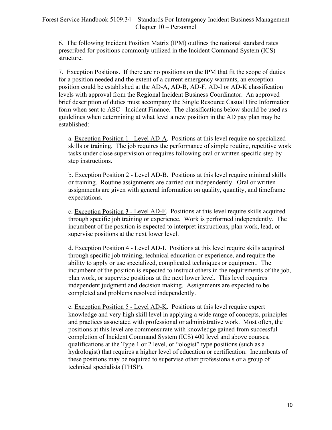6. The following Incident Position Matrix (IPM) outlines the national standard rates prescribed for positions commonly utilized in the Incident Command System (ICS) structure.

7. Exception Positions. If there are no positions on the IPM that fit the scope of duties for a position needed and the extent of a current emergency warrants, an exception position could be established at the AD-A, AD-B, AD-F, AD-I or AD-K classification levels with approval from the Regional Incident Business Coordinator. An approved brief description of duties must accompany the Single Resource Casual Hire Information form when sent to ASC - Incident Finance. The classifications below should be used as guidelines when determining at what level a new position in the AD pay plan may be established:

a. Exception Position 1 - Level AD-A. Positions at this level require no specialized skills or training. The job requires the performance of simple routine, repetitive work tasks under close supervision or requires following oral or written specific step by step instructions.

b. Exception Position 2 - Level AD-B. Positions at this level require minimal skills or training. Routine assignments are carried out independently. Oral or written assignments are given with general information on quality, quantity, and timeframe expectations.

c. Exception Position 3 - Level AD-F. Positions at this level require skills acquired through specific job training or experience. Work is performed independently. The incumbent of the position is expected to interpret instructions, plan work, lead, or supervise positions at the next lower level.

d. Exception Position 4 - Level AD-I. Positions at this level require skills acquired through specific job training, technical education or experience, and require the ability to apply or use specialized, complicated techniques or equipment. The incumbent of the position is expected to instruct others in the requirements of the job, plan work, or supervise positions at the next lower level. This level requires independent judgment and decision making. Assignments are expected to be completed and problems resolved independently.

e. Exception Position 5 - Level AD-K. Positions at this level require expert knowledge and very high skill level in applying a wide range of concepts, principles and practices associated with professional or administrative work. Most often, the positions at this level are commensurate with knowledge gained from successful completion of Incident Command System (ICS) 400 level and above courses, qualifications at the Type 1 or 2 level, or "ologist" type positions (such as a hydrologist) that requires a higher level of education or certification. Incumbents of these positions may be required to supervise other professionals or a group of technical specialists (THSP).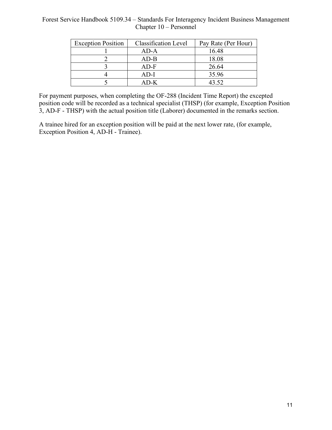#### Forest Service Handbook 5109.34 – Standards For Interagency Incident Business Management Chapter 10 – Personnel

| <b>Exception Position</b> | <b>Classification Level</b> | Pay Rate (Per Hour) |
|---------------------------|-----------------------------|---------------------|
|                           | AD-A                        | 16.48               |
|                           | AD-B                        | 18.08               |
|                           | AD-F                        | 26.64               |
|                           | AD-I                        | 35.96               |
|                           | A D-K                       | 43.52               |

For payment purposes, when completing the OF-288 (Incident Time Report) the excepted position code will be recorded as a technical specialist (THSP) (for example, Exception Position 3, AD-F - THSP) with the actual position title (Laborer) documented in the remarks section.

A trainee hired for an exception position will be paid at the next lower rate, (for example, Exception Position 4, AD-H - Trainee).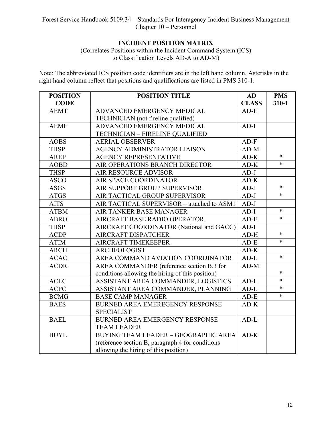# **INCIDENT POSITION MATRIX**

(Correlates Positions within the Incident Command System (ICS) to Classification Levels AD-A to AD-M)

Note: The abbreviated ICS position code identifiers are in the left hand column. Asterisks in the right hand column reflect that positions and qualifications are listed in PMS 310-1.

| <b>POSITION</b> | <b>POSITION TITLE</b>                            | <b>AD</b>    | <b>PMS</b> |
|-----------------|--------------------------------------------------|--------------|------------|
| <b>CODE</b>     |                                                  | <b>CLASS</b> | $310 - 1$  |
| <b>AEMT</b>     | ADVANCED EMERGENCY MEDICAL                       | $AD-H$       |            |
|                 | TECHNICIAN (not fireline qualified)              |              |            |
| <b>AEMF</b>     | <b>ADVANCED EMERGENCY MEDICAL</b>                | $AD-I$       |            |
|                 | TECHNICIAN - FIRELINE QUALIFIED                  |              |            |
| <b>AOBS</b>     | <b>AERIAL OBSERVER</b>                           | $AD-F$       |            |
| <b>THSP</b>     | AGENCY ADMINISTRATOR LIAISON                     | $AD-M$       |            |
| <b>AREP</b>     | <b>AGENCY REPRESENTATIVE</b>                     | $AD-K$       | $\ast$     |
| <b>AOBD</b>     | AIR OPERATIONS BRANCH DIRECTOR                   | $AD-K$       | $\ast$     |
| <b>THSP</b>     | <b>AIR RESOURCE ADVISOR</b>                      | $AD-J$       |            |
| <b>ASCO</b>     | AIR SPACE COORDINATOR                            | $AD-K$       |            |
| <b>ASGS</b>     | AIR SUPPORT GROUP SUPERVISOR                     | $AD-J$       | $\ast$     |
| <b>ATGS</b>     | AIR TACTICAL GROUP SUPERVISOR                    | $AD-J$       | $\ast$     |
| <b>AITS</b>     | AIR TACTICAL SUPERVISOR - attached to ASM1       | $AD-J$       |            |
| <b>ATBM</b>     | AIR TANKER BASE MANAGER                          | $AD-I$       | $\ast$     |
| <b>ABRO</b>     | AIRCRAFT BASE RADIO OPERATOR                     | $AD-E$       | $\ast$     |
| <b>THSP</b>     | AIRCRAFT COORDINATOR (National and GACC)         | $AD-I$       |            |
| <b>ACDP</b>     | <b>AIRCRAFT DISPATCHER</b>                       | $AD-H$       | $\ast$     |
| <b>ATIM</b>     | AIRCRAFT TIMEKEEPER                              | $AD-E$       | $\ast$     |
| <b>ARCH</b>     | <b>ARCHEOLOGIST</b>                              | $AD-K$       |            |
| <b>ACAC</b>     | AREA COMMAND AVIATION COORDINATOR                | $AD-L$       | $\ast$     |
| <b>ACDR</b>     | AREA COMMANDER (reference section B.3 for        | $AD-M$       |            |
|                 | conditions allowing the hiring of this position) |              | $\ast$     |
| <b>ACLC</b>     | ASSISTANT AREA COMMANDER, LOGISTICS              | $AD-L$       | $\ast$     |
| <b>ACPC</b>     | ASSISTANT AREA COMMANDER, PLANNING               | $AD-L$       | $\ast$     |
| <b>BCMG</b>     | <b>BASE CAMP MANAGER</b>                         | $AD-E$       | $\ast$     |
| <b>BAES</b>     | <b>BURNED AREA EMEREGENCY RESPONSE</b>           | $AD-K$       |            |
|                 | <b>SPECIALIST</b>                                |              |            |
| <b>BAEL</b>     | <b>BURNED AREA EMERGENCY RESPONSE</b>            | $AD-L$       |            |
|                 | <b>TEAM LEADER</b>                               |              |            |
| <b>BUYL</b>     | <b>BUYING TEAM LEADER - GEOGRAPHIC AREA</b>      | $AD-K$       |            |
|                 | (reference section B, paragraph 4 for conditions |              |            |
|                 | allowing the hiring of this position)            |              |            |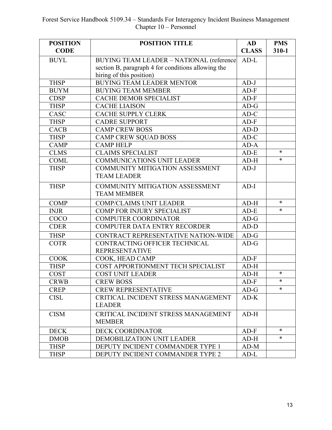| <b>POSITION</b><br><b>CODE</b> | <b>POSITION TITLE</b>                              | <b>AD</b><br><b>CLASS</b> | <b>PMS</b><br>$310 - 1$ |
|--------------------------------|----------------------------------------------------|---------------------------|-------------------------|
| <b>BUYL</b>                    | BUYING TEAM LEADER - NATIONAL (reference           | $AD-L$                    |                         |
|                                | section B, paragraph 4 for conditions allowing the |                           |                         |
|                                | hiring of this position)                           |                           |                         |
| <b>THSP</b>                    | <b>BUYING TEAM LEADER MENTOR</b>                   | $AD-J$                    |                         |
| <b>BUYM</b>                    | <b>BUYING TEAM MEMBER</b>                          | $AD-F$                    |                         |
| <b>CDSP</b>                    | CACHE DEMOB SPECIALIST                             | $AD-F$                    |                         |
| <b>THSP</b>                    | <b>CACHE LIAISON</b>                               | $AD-G$                    |                         |
| CASC                           | <b>CACHE SUPPLY CLERK</b>                          | $AD-C$                    |                         |
| <b>THSP</b>                    | <b>CADRE SUPPORT</b>                               | $AD-F$                    |                         |
| <b>CACB</b>                    | <b>CAMP CREW BOSS</b>                              | $AD-D$                    |                         |
| <b>THSP</b>                    | <b>CAMP CREW SQUAD BOSS</b>                        | $AD-C$                    |                         |
| <b>CAMP</b>                    | <b>CAMP HELP</b>                                   | AD-A                      |                         |
| <b>CLMS</b>                    | <b>CLAIMS SPECIALIST</b>                           | $AD-E$                    | $\ast$                  |
| <b>COML</b>                    | COMMUNICATIONS UNIT LEADER                         | $AD-H$                    | $\ast$                  |
| <b>THSP</b>                    | COMMUNITY MITIGATION ASSESSMENT                    | $AD-J$                    |                         |
|                                | <b>TEAM LEADER</b>                                 |                           |                         |
| <b>THSP</b>                    | COMMUNITY MITIGATION ASSESSMENT                    | $AD-I$                    |                         |
|                                | <b>TEAM MEMBER</b>                                 |                           |                         |
| <b>COMP</b>                    | <b>COMP/CLAIMS UNIT LEADER</b>                     | $AD-H$                    | $\ast$                  |
| <b>INJR</b>                    | COMP FOR INJURY SPECIALIST                         | $AD-E$                    | $\ast$                  |
| COCO                           | <b>COMPUTER COORDINATOR</b>                        | $AD-G$                    |                         |
| <b>CDER</b>                    | COMPUTER DATA ENTRY RECORDER                       | $AD-D$                    |                         |
| <b>THSP</b>                    | CONTRACT REPRESENTATIVE NATION-WIDE                | $AD-G$                    |                         |
| <b>COTR</b>                    | CONTRACTING OFFICER TECHNICAL                      | $AD-G$                    |                         |
|                                | <b>REPRESENTATIVE</b>                              |                           |                         |
| <b>COOK</b>                    | COOK, HEAD CAMP                                    | $AD-F$                    |                         |
| <b>THSP</b>                    | COST APPORTIONMENT TECH SPECIALIST                 | $AD-H$                    |                         |
| <b>COST</b>                    | <b>COST UNIT LEADER</b>                            | $AD-H$                    | $\ast$                  |
| <b>CRWB</b>                    | <b>CREW BOSS</b>                                   | $AD-F$                    | $*$                     |
| <b>CREP</b>                    | <b>CREW REPRESENTATIVE</b>                         | $AD-G$                    | $\ast$                  |
| <b>CISL</b>                    | CRITICAL INCIDENT STRESS MANAGEMENT                | $AD-K$                    |                         |
|                                | <b>LEADER</b>                                      |                           |                         |
| <b>CISM</b>                    | CRITICAL INCIDENT STRESS MANAGEMENT                | $AD-H$                    |                         |
|                                | <b>MEMBER</b>                                      |                           |                         |
| <b>DECK</b>                    | <b>DECK COORDINATOR</b>                            | $AD-F$                    | *                       |
| <b>DMOB</b>                    | DEMOBILIZATION UNIT LEADER                         | $AD-H$                    | $\ast$                  |
| <b>THSP</b>                    | DEPUTY INCIDENT COMMANDER TYPE 1                   | $AD-M$                    |                         |
| <b>THSP</b>                    | DEPUTY INCIDENT COMMANDER TYPE 2                   | $AD-L$                    |                         |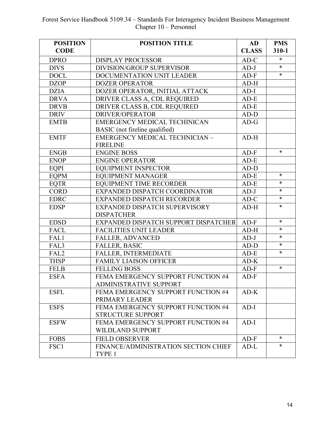| <b>POSITION</b>  | <b>POSITION TITLE</b>                 | AD           | <b>PMS</b> |
|------------------|---------------------------------------|--------------|------------|
| <b>CODE</b>      |                                       | <b>CLASS</b> | $310 - 1$  |
| <b>DPRO</b>      | <b>DISPLAY PROCESSOR</b>              | $AD-C$       | $\ast$     |
| <b>DIVS</b>      | <b>DIVISION/GROUP SUPERVISOR</b>      | $AD-J$       | $\ast$     |
| <b>DOCL</b>      | DOCUMENTATION UNIT LEADER             | $AD-F$       | $\ast$     |
| <b>DZOP</b>      | <b>DOZER OPERATOR</b>                 | $AD-H$       |            |
| <b>DZIA</b>      | DOZER OPERATOR, INITIAL ATTACK        | $AD-I$       |            |
| <b>DRVA</b>      | DRIVER CLASS A, CDL REQUIRED          | $AD-E$       |            |
| <b>DRVB</b>      | DRIVER CLASS B, CDL REQUIRED          | $AD-E$       |            |
| <b>DRIV</b>      | DRIVER/OPERATOR                       | $AD-D$       |            |
| <b>EMTB</b>      | <b>EMERGENCY MEDICAL TECHINICAN</b>   | $AD-G$       |            |
|                  | BASIC (not fireline qualified)        |              |            |
| <b>EMTF</b>      | <b>EMERGENCY MEDICAL TECHNICIAN -</b> | $AD-H$       |            |
|                  | <b>FIRELINE</b>                       |              |            |
| <b>ENGB</b>      | <b>ENGINE BOSS</b>                    | $AD-F$       | $\ast$     |
| <b>ENOP</b>      | <b>ENGINE OPERATOR</b>                | $AD-E$       |            |
| EOPI             | <b>EQUIPMENT INSPECTOR</b>            | $AD-D$       |            |
| <b>EQPM</b>      | <b>EQUIPMENT MANAGER</b>              | $AD-E$       | $\ast$     |
| <b>EQTR</b>      | <b>EQUIPMENT TIME RECORDER</b>        | $AD-E$       | $\ast$     |
| <b>CORD</b>      | EXPANDED DISPATCH COORDINATOR         | $AD-J$       | $\ast$     |
| <b>EDRC</b>      | EXPANDED DISPATCH RECORDER            | $AD-C$       | $\ast$     |
| <b>EDSP</b>      | EXPANDED DISPATCH SUPERVISORY         | $AD-H$       | $\ast$     |
|                  | <b>DISPATCHER</b>                     |              |            |
| <b>EDSD</b>      | EXPANDED DISPATCH SUPPORT DISPATCHER  | $AD-F$       | $\ast$     |
| FACL             | <b>FACILITIES UNIT LEADER</b>         | $AD-H$       | $\ast$     |
| FAL1             | <b>FALLER, ADVANCED</b>               | $AD-J$       | $\ast$     |
| FAL3             | <b>FALLER, BASIC</b>                  | $AD-D$       | $\ast$     |
| FAL <sub>2</sub> | FALLER, INTERMEDIATE                  | $AD-E$       | $\ast$     |
| <b>THSP</b>      | <b>FAMILY LIAISON OFFICER</b>         | $AD-K$       |            |
| <b>FELB</b>      | <b>FELLING BOSS</b>                   | $AD-F$       | $\ast$     |
| <b>ESFA</b>      | FEMA EMERGENCY SUPPORT FUNCTION #4    | $AD-F$       |            |
|                  | <b>ADMINISTRATIVE SUPPORT</b>         |              |            |
| <b>ESFL</b>      | FEMA EMERGENCY SUPPORT FUNCTION #4    | $AD-K$       |            |
|                  | PRIMARY LEADER                        |              |            |
| <b>ESFS</b>      | FEMA EMERGENCY SUPPORT FUNCTION #4    | $AD-I$       |            |
|                  | <b>STRUCTURE SUPPORT</b>              |              |            |
| <b>ESFW</b>      | FEMA EMERGENCY SUPPORT FUNCTION #4    | $AD-I$       |            |
|                  | <b>WILDLAND SUPPORT</b>               |              |            |
| <b>FOBS</b>      | <b>FIELD OBSERVER</b>                 | $AD-F$       | $\ast$     |
| FSC1             | FINANCE/ADMINISTRATION SECTION CHIEF  | $AD-L$       | $\ast$     |
|                  | TYPE 1                                |              |            |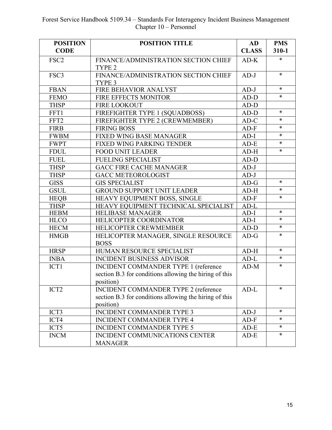| <b>POSITION</b>  | <b>POSITION TITLE</b>                                  | <b>AD</b>    | <b>PMS</b> |
|------------------|--------------------------------------------------------|--------------|------------|
| <b>CODE</b>      |                                                        | <b>CLASS</b> | $310 - 1$  |
| FSC <sub>2</sub> | FINANCE/ADMINISTRATION SECTION CHIEF                   | $AD-K$       | $\ast$     |
|                  | TYPE <sub>2</sub>                                      |              |            |
| FSC3             | FINANCE/ADMINISTRATION SECTION CHIEF                   | $AD-J$       | $\ast$     |
|                  | TYPE 3                                                 |              |            |
| <b>FBAN</b>      | FIRE BEHAVIOR ANALYST                                  | $AD-J$       | $\ast$     |
| <b>FEMO</b>      | FIRE EFFECTS MONITOR                                   | $AD-D$       | $\ast$     |
| <b>THSP</b>      | <b>FIRE LOOKOUT</b>                                    | $AD-D$       |            |
| FFT1             | FIREFIGHTER TYPE 1 (SQUADBOSS)                         | $AD-D$       | $\ast$     |
| FFT2             | FIREFIGHTER TYPE 2 (CREWMEMBER)                        | $AD-C$       | $\ast$     |
| <b>FIRB</b>      | <b>FIRING BOSS</b>                                     | $AD-F$       | $\ast$     |
| <b>FWBM</b>      | <b>FIXED WING BASE MANAGER</b>                         | $AD-I$       | $\ast$     |
| <b>FWPT</b>      | FIXED WING PARKING TENDER                              | $AD-E$       | $\ast$     |
| <b>FDUL</b>      | <b>FOOD UNIT LEADER</b>                                | $AD-H$       | $\ast$     |
| <b>FUEL</b>      | <b>FUELING SPECIALIST</b>                              | $AD-D$       |            |
| <b>THSP</b>      | <b>GACC FIRE CACHE MANAGER</b>                         | $AD-J$       |            |
| <b>THSP</b>      | <b>GACC METEOROLOGIST</b>                              | $AD-J$       |            |
| <b>GISS</b>      | <b>GIS SPECIALIST</b>                                  | $AD-G$       | $\ast$     |
| <b>GSUL</b>      | <b>GROUND SUPPORT UNIT LEADER</b>                      | $AD-H$       | $\ast$     |
| <b>HEQB</b>      | HEAVY EQUIPMENT BOSS, SINGLE                           | $AD-F$       | $\ast$     |
| <b>THSP</b>      | HEAVY EQUIPMENT TECHNICAL SPECIALIST                   | $AD-L$       |            |
| <b>HEBM</b>      | <b>HELIBASE MANAGER</b>                                | $AD-I$       | $\ast$     |
| <b>HLCO</b>      | HELICOPTER COORDINATOR                                 | $AD-I$       | $\ast$     |
| <b>HECM</b>      | HELICOPTER CREWMEMBER                                  | $AD-D$       | $\ast$     |
| <b>HMGB</b>      | HELICOPTER MANAGER, SINGLE RESOURCE                    | $AD-G$       | $\ast$     |
|                  | <b>BOSS</b>                                            |              |            |
| <b>HRSP</b>      | HUMAN RESOURCE SPECIALIST                              | $AD-H$       | $\ast$     |
| <b>INBA</b>      | <b>INCIDENT BUSINESS ADVISOR</b>                       | $AD-L$       | $\ast$     |
| ICT1             | <b>INCIDENT COMMANDER TYPE 1 (reference</b>            | $AD-M$       | $\ast$     |
|                  | section B.3 for conditions allowing the hiring of this |              |            |
|                  | position)                                              |              |            |
| ICT <sub>2</sub> | <b>INCIDENT COMMANDER TYPE 2 (reference</b>            | $AD-L$       | $\ast$     |
|                  | section B.3 for conditions allowing the hiring of this |              |            |
|                  | position)                                              |              |            |
| ICT3             | <b>INCIDENT COMMANDER TYPE 3</b>                       | $AD-J$       | $\ast$     |
| ICT4             | <b>INCIDENT COMMANDER TYPE 4</b>                       | $AD-F$       | ∗          |
| ICT5             | INCIDENT COMMANDER TYPE 5                              | $AD-E$       | $\ast$     |
| <b>INCM</b>      | INCIDENT COMMUNICATIONS CENTER                         | $AD-E$       | $\ast$     |
|                  | <b>MANAGER</b>                                         |              |            |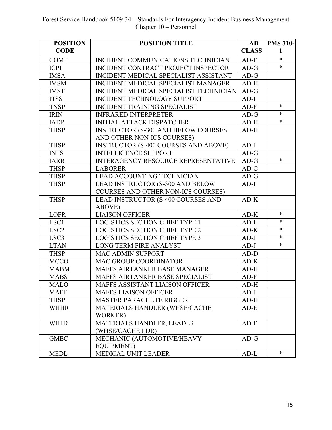| <b>POSITION</b>  | <b>POSITION TITLE</b>                       | <b>AD</b>    | <b>PMS 310-</b> |
|------------------|---------------------------------------------|--------------|-----------------|
| <b>CODE</b>      |                                             | <b>CLASS</b> | $\mathbf{1}$    |
| <b>COMT</b>      | INCIDENT COMMUNICATIONS TECHNICIAN          | $AD-F$       | $\ast$          |
| <b>ICPI</b>      | INCIDENT CONTRACT PROJECT INSPECTOR         | $AD-G$       | $\ast$          |
| <b>IMSA</b>      | INCIDENT MEDICAL SPECIALIST ASSISTANT       | $AD-G$       |                 |
| <b>IMSM</b>      | <b>INCIDENT MEDICAL SPECIALIST MANAGER</b>  | $AD-H$       |                 |
| <b>IMST</b>      | INCIDENT MEDICAL SPECIALIST TECHNICIAN      | $AD-G$       |                 |
| <b>ITSS</b>      | <b>INCIDENT TECHNOLOGY SUPPORT</b>          | $AD-I$       |                 |
| <b>TNSP</b>      | <b>INCIDENT TRAINING SPECIALIST</b>         | $AD-F$       | $\ast$          |
| <b>IRIN</b>      | <b>INFRARED INTERPRETER</b>                 | $AD-G$       | *               |
| <b>IADP</b>      | <b>INITIAL ATTACK DISPATCHER</b>            | $AD-H$       | $\ast$          |
| <b>THSP</b>      | <b>INSTRUCTOR (S-300 AND BELOW COURSES</b>  | $AD-H$       |                 |
|                  | AND OTHER NON-ICS COURSES)                  |              |                 |
| <b>THSP</b>      | <b>INSTRUCTOR (S-400 COURSES AND ABOVE)</b> | $AD-J$       |                 |
| <b>INTS</b>      | <b>INTELLIGENCE SUPPORT</b>                 | $AD-G$       |                 |
| <b>IARR</b>      | INTERAGENCY RESOURCE REPRESENTATIVE         | $AD-G$       | $\ast$          |
| <b>THSP</b>      | <b>LABORER</b>                              | $AD-C$       |                 |
| <b>THSP</b>      | <b>LEAD ACCOUNTING TECHNICIAN</b>           | $AD-G$       |                 |
| <b>THSP</b>      | LEAD INSTRUCTOR (S-300 AND BELOW            | $AD-I$       |                 |
|                  | <b>COURSES AND OTHER NON-ICS COURSES)</b>   |              |                 |
| <b>THSP</b>      | <b>LEAD INSTRUCTOR (S-400 COURSES AND</b>   | $AD-K$       |                 |
|                  | ABOVE)                                      |              |                 |
| <b>LOFR</b>      | <b>LIAISON OFFICER</b>                      | $AD-K$       | $\ast$          |
| LSC1             | <b>LOGISTICS SECTION CHIEF TYPE 1</b>       | $AD-L$       | *               |
| LSC <sub>2</sub> | <b>LOGISTICS SECTION CHIEF TYPE 2</b>       | $AD-K$       | *               |
| LSC <sub>3</sub> | <b>LOGISTICS SECTION CHIEF TYPE 3</b>       | $AD-J$       | $\ast$          |
| <b>LTAN</b>      | LONG TERM FIRE ANALYST                      | $AD-J$       | $\ast$          |
| <b>THSP</b>      | <b>MAC ADMIN SUPPORT</b>                    | $AD-D$       |                 |
| <b>MCCO</b>      | <b>MAC GROUP COORDINATOR</b>                | $AD-K$       |                 |
| <b>MABM</b>      | MAFFS AIRTANKER BASE MANAGER                | $AD-H$       |                 |
| <b>MABS</b>      | MAFFS AIRTANKER BASE SPECIALIST             | $AD-F$       |                 |
| <b>MALO</b>      | MAFFS ASSISTANT LIAISON OFFICER             | $AD-H$       |                 |
| <b>MAFF</b>      | <b>MAFFS LIAISON OFFICER</b>                | $AD-J$       |                 |
| <b>THSP</b>      | <b>MASTER PARACHUTE RIGGER</b>              | $AD-H$       |                 |
| <b>WHHR</b>      | MATERIALS HANDLER (WHSE/CACHE               | $AD-E$       |                 |
|                  | WORKER)                                     |              |                 |
| <b>WHLR</b>      | MATERIALS HANDLER, LEADER                   | $AD-F$       |                 |
|                  | (WHSE/CACHE LDR)                            |              |                 |
| <b>GMEC</b>      | MECHANIC (AUTOMOTIVE/HEAVY                  | $AD-G$       |                 |
|                  | <b>EQUIPMENT)</b>                           |              |                 |
| <b>MEDL</b>      | MEDICAL UNIT LEADER                         | $AD-L$       | *               |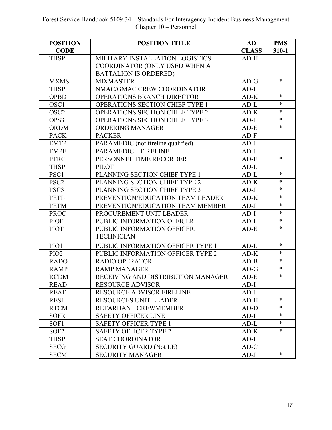| <b>POSITION</b>  | <b>POSITION TITLE</b>                                         | AD           | <b>PMS</b> |
|------------------|---------------------------------------------------------------|--------------|------------|
| <b>CODE</b>      |                                                               | <b>CLASS</b> | $310 - 1$  |
| <b>THSP</b>      | MILITARY INSTALLATION LOGISTICS                               | $AD-H$       |            |
|                  | COORDINATOR (ONLY USED WHEN A<br><b>BATTALION IS ORDERED)</b> |              |            |
| <b>MXMS</b>      | <b>MIXMASTER</b>                                              | $AD-G$       | $\ast$     |
| <b>THSP</b>      | NMAC/GMAC CREW COORDINATOR                                    | $AD-I$       |            |
| <b>OPBD</b>      | OPERATIONS BRANCH DIRECTOR                                    | $AD-K$       | $\ast$     |
| OSC1             | OPERATIONS SECTION CHIEF TYPE 1                               | $AD-L$       | $\ast$     |
| OSC <sub>2</sub> | <b>OPERATIONS SECTION CHIEF TYPE 2</b>                        | $AD-K$       | $\ast$     |
| OPS3             |                                                               | $AD-J$       | $\ast$     |
|                  | OPERATIONS SECTION CHIEF TYPE 3                               |              | $\ast$     |
| <b>ORDM</b>      | <b>ORDERING MANAGER</b>                                       | $AD-E$       |            |
| <b>PACK</b>      | <b>PACKER</b>                                                 | $AD-F$       |            |
| <b>EMTP</b>      | PARAMEDIC (not fireline qualified)                            | $AD-J$       |            |
| <b>EMPF</b>      | <b>PARAMEDIC - FIRELINE</b>                                   | $AD-J$       | $\ast$     |
| <b>PTRC</b>      | PERSONNEL TIME RECORDER                                       | $AD-E$       |            |
| <b>THSP</b>      | <b>PILOT</b>                                                  | $AD-L$       | $\ast$     |
| PSC1             | PLANNING SECTION CHIEF TYPE 1                                 | $AD-L$       |            |
| PSC <sub>2</sub> | PLANNING SECTION CHIEF TYPE 2                                 | $AD-K$       | $\ast$     |
| PSC3             | PLANNING SECTION CHIEF TYPE 3                                 | $AD-J$       | $\ast$     |
| <b>PETL</b>      | PREVENTION/EDUCATION TEAM LEADER                              | $AD-K$       | $\ast$     |
| <b>PETM</b>      | PREVENTION/EDUCATION TEAM MEMBER                              | $AD-J$       | $\ast$     |
| <b>PROC</b>      | PROCUREMENT UNIT LEADER                                       | $AD-I$       | $\ast$     |
| <b>PIOF</b>      | PUBLIC INFORMATION OFFICER                                    | $AD-I$       | $\ast$     |
| <b>PIOT</b>      | PUBLIC INFORMATION OFFICER,<br><b>TECHNICIAN</b>              | $AD-E$       | $\ast$     |
|                  |                                                               |              | $\ast$     |
| PIO1             | PUBLIC INFORMATION OFFICER TYPE 1                             | $AD-L$       | $\ast$     |
| PIO <sub>2</sub> | PUBLIC INFORMATION OFFICER TYPE 2                             | $AD-K$       | *          |
| <b>RADO</b>      | <b>RADIO OPERATOR</b>                                         | $AD-B$       | $\ast$     |
| <b>RAMP</b>      | <b>RAMP MANAGER</b>                                           | $AD-G$       | $\ast$     |
| <b>RCDM</b>      | RECEIVING AND DISTRIBUTION MANAGER                            | $AD-E$       |            |
| <b>READ</b>      | <b>RESOURCE ADVISOR</b>                                       | $AD-I$       |            |
| <b>REAF</b>      | <b>RESOURCE ADVISOR FIRELINE</b>                              | $AD-J$       |            |
| <b>RESL</b>      | <b>RESOURCES UNIT LEADER</b>                                  | $AD-H$       | $\ast$     |
| <b>RTCM</b>      | RETARDANT CREWMEMBER                                          | $AD-D$       | $\ast$     |
| <b>SOFR</b>      | <b>SAFETY OFFICER LINE</b>                                    | $AD-I$       | ∗          |
| SOF1             | <b>SAFETY OFFICER TYPE 1</b>                                  | $AD-L$       | $\ast$     |
| SOF <sub>2</sub> | SAFETY OFFICER TYPE 2                                         | $AD-K$       | $\ast$     |
| <b>THSP</b>      | <b>SEAT COORDINATOR</b>                                       | $AD-I$       |            |
| <b>SECG</b>      | <b>SECURITY GUARD (Not LE)</b>                                | $AD-C$       |            |
| <b>SECM</b>      | <b>SECURITY MANAGER</b>                                       | $AD-J$       | $\ast$     |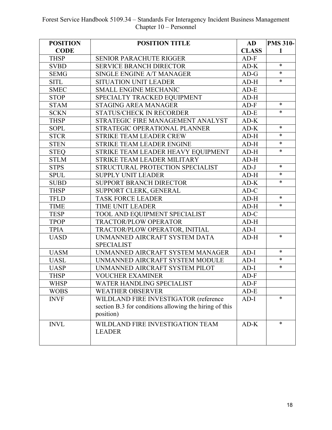| <b>POSITION</b> | <b>POSITION TITLE</b>                                  | AD           | <b>PMS 310-</b> |
|-----------------|--------------------------------------------------------|--------------|-----------------|
| <b>CODE</b>     |                                                        | <b>CLASS</b> | 1               |
| <b>THSP</b>     | <b>SENIOR PARACHUTE RIGGER</b>                         | $AD-F$       |                 |
| <b>SVBD</b>     | <b>SERVICE BRANCH DIRECTOR</b>                         | $AD-K$       | $\ast$          |
| <b>SEMG</b>     | SINGLE ENGINE A/T MANAGER                              | $AD-G$       | $\ast$          |
| <b>SITL</b>     | <b>SITUATION UNIT LEADER</b>                           | $AD-H$       | $\ast$          |
| <b>SMEC</b>     | <b>SMALL ENGINE MECHANIC</b>                           | $AD-E$       |                 |
| <b>STOP</b>     | SPECIALTY TRACKED EQUIPMENT                            | $AD-H$       |                 |
| <b>STAM</b>     | <b>STAGING AREA MANAGER</b>                            | $AD-F$       | *               |
| <b>SCKN</b>     | <b>STATUS/CHECK IN RECORDER</b>                        | $AD-E$       | $\ast$          |
| <b>THSP</b>     | STRATEGIC FIRE MANAGEMENT ANALYST                      | $AD-K$       |                 |
| <b>SOPL</b>     | STRATEGIC OPERATIONAL PLANNER                          | $AD-K$       | $\ast$          |
| <b>STCR</b>     | <b>STRIKE TEAM LEADER CREW</b>                         | $AD-H$       | $\ast$          |
| <b>STEN</b>     | STRIKE TEAM LEADER ENGINE                              | $AD-H$       | $\ast$          |
| <b>STEQ</b>     | STRIKE TEAM LEADER HEAVY EOUIPMENT                     | $AD-H$       | $\ast$          |
| <b>STLM</b>     | STRIKE TEAM LEADER MILITARY                            | $AD-H$       |                 |
| <b>STPS</b>     | STRUCTURAL PROTECTION SPECIALIST                       | $AD-J$       | *               |
| <b>SPUL</b>     | <b>SUPPLY UNIT LEADER</b>                              | $AD-H$       | $\ast$          |
| <b>SUBD</b>     | <b>SUPPORT BRANCH DIRECTOR</b>                         | $AD-K$       | $\ast$          |
| <b>THSP</b>     | SUPPORT CLERK, GENERAL                                 | $AD-C$       |                 |
| <b>TFLD</b>     | <b>TASK FORCE LEADER</b>                               | $AD-H$       | $\ast$          |
| <b>TIME</b>     | <b>TIME UNIT LEADER</b>                                | $AD-H$       | $\ast$          |
| <b>TESP</b>     | TOOL AND EQUIPMENT SPECIALIST                          | $AD-C$       |                 |
| <b>TPOP</b>     | <b>TRACTOR/PLOW OPERATOR</b>                           | $AD-H$       |                 |
| <b>TPIA</b>     | TRACTOR/PLOW OPERATOR, INITIAL                         | $AD-I$       |                 |
| <b>UASD</b>     | UNMANNED AIRCRAFT SYSTEM DATA                          | $AD-H$       | $\ast$          |
|                 | <b>SPECIALIST</b>                                      |              |                 |
| <b>UASM</b>     | UNMANNED AIRCRAFT SYSTEM MANAGER                       | $AD-I$       | *               |
| <b>UASL</b>     | UNMANNED AIRCRAFT SYSTEM MODULE                        | $AD-I$       | $\ast$          |
| <b>UASP</b>     | UNMANNED AIRCRAFT SYSTEM PILOT                         | $AD-I$       | $\ast$          |
| <b>THSP</b>     | <b>VOUCHER EXAMINER</b>                                | $AD-F$       |                 |
| WHSP            | WATER HANDLING SPECIALIST                              | $AD-F$       |                 |
| <b>WOBS</b>     | <b>WEATHER OBSERVER</b>                                | $AD-E$       |                 |
| <b>INVF</b>     | WILDLAND FIRE INVESTIGATOR (reference                  | $AD-I$       | $\ast$          |
|                 | section B.3 for conditions allowing the hiring of this |              |                 |
|                 | position)                                              |              |                 |
| <b>INVL</b>     | WILDLAND FIRE INVESTIGATION TEAM                       | $AD-K$       | $\ast$          |
|                 | <b>LEADER</b>                                          |              |                 |
|                 |                                                        |              |                 |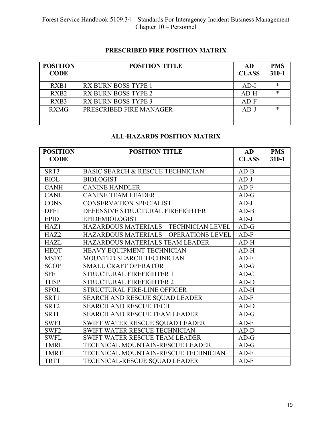### **PRESCRIBED FIRE POSITION MATRIX**

| <b>POSITION</b><br><b>CODE</b> | <b>POSITION TITLE</b>      | AD<br><b>CLASS</b> | <b>PMS</b><br>$310 - 1$ |
|--------------------------------|----------------------------|--------------------|-------------------------|
| RXB1                           | <b>RX BURN BOSS TYPE 1</b> | $AD-I$             | ж                       |
| RX <sub>B2</sub>               | <b>RX BURN BOSS TYPE 2</b> | $AD-H$             |                         |
| RXB3                           | <b>RX BURN BOSS TYPE 3</b> | $AD-F$             |                         |
| <b>RXMG</b>                    | PRESCRIBED FIRE MANAGER    | $AD-J$             | ж                       |

# **ALL-HAZARDS POSITION MATRIX**

| <b>POSITION</b>  | <b>POSITION TITLE</b>                         | AD           | <b>PMS</b> |
|------------------|-----------------------------------------------|--------------|------------|
| <b>CODE</b>      |                                               | <b>CLASS</b> | $310 - 1$  |
| SRT3             | <b>BASIC SEARCH &amp; RESCUE TECHNICIAN</b>   | $AD-B$       |            |
| <b>BIOL</b>      | <b>BIOLOGIST</b>                              | $AD-J$       |            |
| <b>CANH</b>      | <b>CANINE HANDLER</b>                         | $AD-F$       |            |
| <b>CANL</b>      | <b>CANINE TEAM LEADER</b>                     | $AD-G$       |            |
| <b>CONS</b>      | <b>CONSERVATION SPECIALIST</b>                | $AD-J$       |            |
| DFF1             | DEFENSIVE STRUCTURAL FIREFIGHTER              | $AD-B$       |            |
| <b>EPID</b>      | <b>EPIDEMIOLOGIST</b>                         | $AD-J$       |            |
| HAZ1             | HAZARDOUS MATERIALS - TECHNICIAN LEVEL        | $AD-G$       |            |
| HAZ <sub>2</sub> | <b>HAZARDOUS MATERIALS - OPERATIONS LEVEL</b> | $AD-F$       |            |
| <b>HAZL</b>      | HAZARDOUS MATERIALS TEAM LEADER               | $AD-H$       |            |
| <b>HEQT</b>      | HEAVY EQUIPMENT TECHNICIAN                    | $AD-H$       |            |
| <b>MSTC</b>      | <b>MOUNTED SEARCH TECHNICIAN</b>              | $AD-F$       |            |
| <b>SCOP</b>      | <b>SMALL CRAFT OPERATOR</b>                   | $AD-G$       |            |
| SFF1             | <b>STRUCTURAL FIREFIGHTER 1</b>               | $AD-C$       |            |
| <b>THSP</b>      | STRUCTURAL FIREFIGHTER 2                      | $AD-D$       |            |
| <b>SFOL</b>      | <b>STRUCTURAL FIRE-LINE OFFICER</b>           | $AD-H$       |            |
| SRT1             | <b>SEARCH AND RESCUE SQUAD LEADER</b>         | $AD-F$       |            |
| SRT <sub>2</sub> | <b>SEARCH AND RESCUE TECH</b>                 | $AD-D$       |            |
| <b>SRTL</b>      | SEARCH AND RESCUE TEAM LEADER                 | $AD-G$       |            |
| SWF1             | SWIFT WATER RESCUE SQUAD LEADER               | $AD-F$       |            |
| SWF <sub>2</sub> | <b>SWIFT WATER RESCUE TECHNICIAN</b>          | $AD-D$       |            |
| <b>SWFL</b>      | SWIFT WATER RESCUE TEAM LEADER                | $AD-G$       |            |
| <b>TMRL</b>      | TECHNICAL MOUNTAIN-RESCUE LEADER              | $AD-G$       |            |
| <b>TMRT</b>      | TECHNICAL MOUNTAIN-RESCUE TECHNICIAN          | $AD-F$       |            |
| TRT1             | TECHNICAL-RESCUE SQUAD LEADER                 | $AD-F$       |            |